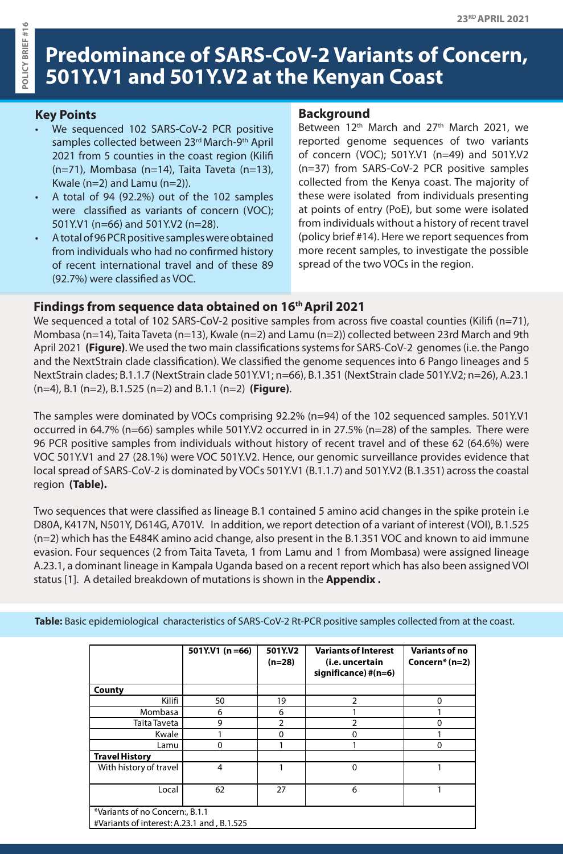# **Predominance of SARS-CoV-2 Variants of Concern, 501Y.V1 and 501Y.V2 at the Kenyan Coast**

## **Key Points**

- We sequenced 102 SARS-CoV-2 PCR positive samples collected between 23rd March-9th April 2021 from 5 counties in the coast region (Kilifi (n=71), Mombasa (n=14), Taita Taveta (n=13), Kwale (n=2) and Lamu (n=2)).
- A total of 94 (92.2%) out of the 102 samples were classified as variants of concern (VOC); 501Y.V1 (n=66) and 501Y.V2 (n=28).
- A total of 96 PCR positive samples were obtained from individuals who had no confirmed history of recent international travel and of these 89 (92.7%) were classified as VOC.

#### **Background**

Between 12<sup>th</sup> March and 27<sup>th</sup> March 2021, we reported genome sequences of two variants of concern (VOC); 501Y.V1 (n=49) and 501Y.V2 (n=37) from SARS-CoV-2 PCR positive samples collected from the Kenya coast. The majority of these were isolated from individuals presenting at points of entry (PoE), but some were isolated from individuals without a history of recent travel (policy brief #14). Here we report sequences from more recent samples, to investigate the possible spread of the two VOCs in the region.

## **Findings from sequence data obtained on 16th April 2021**

We sequenced a total of 102 SARS-CoV-2 positive samples from across five coastal counties (Kilifi (n=71), Mombasa (n=14), Taita Taveta (n=13), Kwale (n=2) and Lamu (n=2)) collected between 23rd March and 9th April 2021 **(Figure)**. We used the two main classifications systems for SARS-CoV-2 genomes (i.e. the Pango and the NextStrain clade classification). We classified the genome sequences into 6 Pango lineages and 5 NextStrain clades; B.1.1.7 (NextStrain clade 501Y.V1; n=66), B.1.351 (NextStrain clade 501Y.V2; n=26), A.23.1 (n=4), B.1 (n=2), B.1.525 (n=2) and B.1.1 (n=2) **(Figure)**.

The samples were dominated by VOCs comprising 92.2% (n=94) of the 102 sequenced samples. 501Y.V1 occurred in 64.7% (n=66) samples while 501Y.V2 occurred in in 27.5% (n=28) of the samples. There were 96 PCR positive samples from individuals without history of recent travel and of these 62 (64.6%) were VOC 501Y.V1 and 27 (28.1%) were VOC 501Y.V2. Hence, our genomic surveillance provides evidence that local spread of SARS-CoV-2 is dominated by VOCs 501Y.V1 (B.1.1.7) and 501Y.V2 (B.1.351) across the coastal region **(Table).**

Two sequences that were classified as lineage B.1 contained 5 amino acid changes in the spike protein i.e D80A, K417N, N501Y, D614G, A701V. In addition, we report detection of a variant of interest (VOI), B.1.525 (n=2) which has the E484K amino acid change, also present in the B.1.351 VOC and known to aid immune evasion. Four sequences (2 from Taita Taveta, 1 from Lamu and 1 from Mombasa) were assigned lineage A.23.1, a dominant lineage in Kampala Uganda based on a recent report which has also been assigned VOI status [1]. A detailed breakdown of mutations is shown in the **Appendix .**

**Table:** Basic epidemiological characteristics of SARS-CoV-2 Rt-PCR positive samples collected from at the coast.

|                                            | 501Y.V1 $(n=66)$ | 501Y.V2<br>$(n=28)$ | <b>Variants of Interest</b><br>(i.e. uncertain<br>significance) #(n=6) | <b>Variants of no</b><br>Concern $*(n=2)$ |
|--------------------------------------------|------------------|---------------------|------------------------------------------------------------------------|-------------------------------------------|
| County                                     |                  |                     |                                                                        |                                           |
| Kilifi                                     | 50               | 19                  | 2                                                                      | 0                                         |
| Mombasa                                    | 6                | 6                   |                                                                        |                                           |
| Taita Taveta                               | 9                | 2                   | າ                                                                      | ŋ                                         |
| Kwale                                      |                  | O                   |                                                                        |                                           |
| Lamu                                       | O                |                     |                                                                        | $\Omega$                                  |
| <b>Travel History</b>                      |                  |                     |                                                                        |                                           |
| With history of travel                     | 4                |                     | $\Omega$                                                               |                                           |
| Local                                      | 62               | 27                  | 6                                                                      |                                           |
| *Variants of no Concern:, B.1.1            |                  |                     |                                                                        |                                           |
| #Variants of interest: A.23.1 and, B.1.525 |                  |                     |                                                                        |                                           |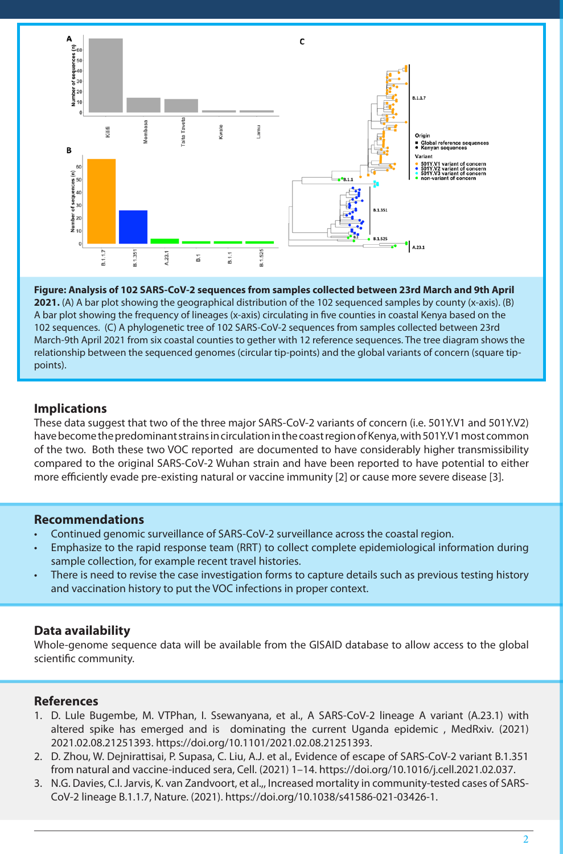

**Figure: Analysis of 102 SARS-CoV-2 sequences from samples collected between 23rd March and 9th April 2021.** (A) A bar plot showing the geographical distribution of the 102 sequenced samples by county (x-axis). (B) A bar plot showing the frequency of lineages (x-axis) circulating in five counties in coastal Kenya based on the 102 sequences. (C) A phylogenetic tree of 102 SARS-CoV-2 sequences from samples collected between 23rd March-9th April 2021 from six coastal counties to gether with 12 reference sequences. The tree diagram shows the relationship between the sequenced genomes (circular tip-points) and the global variants of concern (square tippoints).

## **Implications**

These data suggest that two of the three major SARS-CoV-2 variants of concern (i.e. 501Y.V1 and 501Y.V2) have become the predominant strains in circulation in the coast region of Kenya, with 501Y.V1 most common of the two. Both these two VOC reported are documented to have considerably higher transmissibility compared to the original SARS-CoV-2 Wuhan strain and have been reported to have potential to either more efficiently evade pre-existing natural or vaccine immunity [2] or cause more severe disease [3].

## **Recommendations**

- Continued genomic surveillance of SARS-CoV-2 surveillance across the coastal region.
- Emphasize to the rapid response team (RRT) to collect complete epidemiological information during sample collection, for example recent travel histories.
- There is need to revise the case investigation forms to capture details such as previous testing history and vaccination history to put the VOC infections in proper context.

# **Data availability**

Whole-genome sequence data will be available from the GISAID database to allow access to the global scientific community.

# **References**

- 1. D. Lule Bugembe, M. VTPhan, I. Ssewanyana, et al., A SARS-CoV-2 lineage A variant (A.23.1) with altered spike has emerged and is dominating the current Uganda epidemic , MedRxiv. (2021) 2021.02.08.21251393. https://doi.org/10.1101/2021.02.08.21251393.
- 2. D. Zhou, W. Dejnirattisai, P. Supasa, C. Liu, A.J. et al., Evidence of escape of SARS-CoV-2 variant B.1.351 from natural and vaccine-induced sera, Cell. (2021) 1–14. https://doi.org/10.1016/j.cell.2021.02.037.
- 3. N.G. Davies, C.I. Jarvis, K. van Zandvoort, et al.,, Increased mortality in community-tested cases of SARS-CoV-2 lineage B.1.1.7, Nature. (2021). https://doi.org/10.1038/s41586-021-03426-1.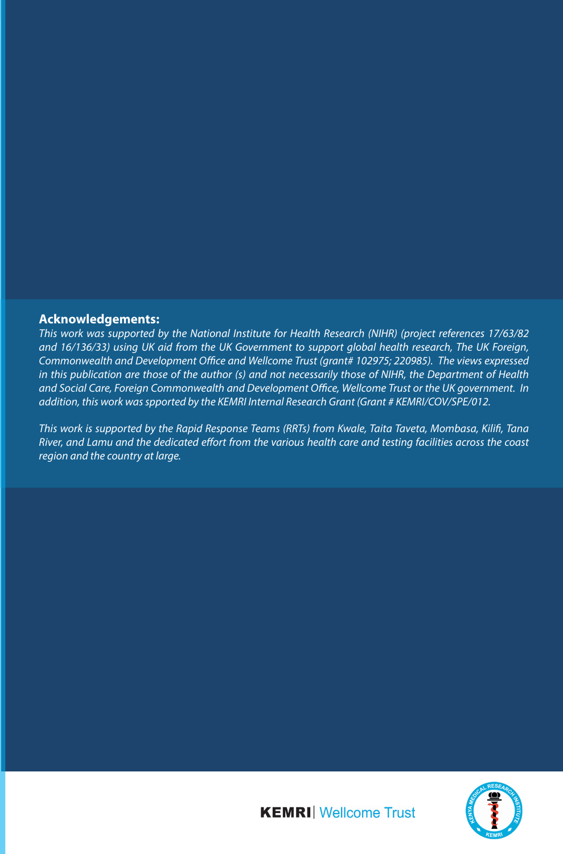#### **Acknowledgements:**

*This work was supported by the National Institute for Health Research (NIHR) (project references 17/63/82 and 16/136/33) using UK aid from the UK Government to support global health research, The UK Foreign, Commonwealth and Development Office and Wellcome Trust (grant# 102975; 220985). The views expressed in this publication are those of the author (s) and not necessarily those of NIHR, the Department of Health and Social Care, Foreign Commonwealth and Development Office, Wellcome Trust or the UK government. In addition, this work was spported by the KEMRI Internal Research Grant (Grant # KEMRI/COV/SPE/012.* 

*This work is supported by the Rapid Response Teams (RRTs) from Kwale, Taita Taveta, Mombasa, Kilifi, Tana River, and Lamu and the dedicated effort from the various health care and testing facilities across the coast region and the country at large.*



**KEMRI** Wellcome Trust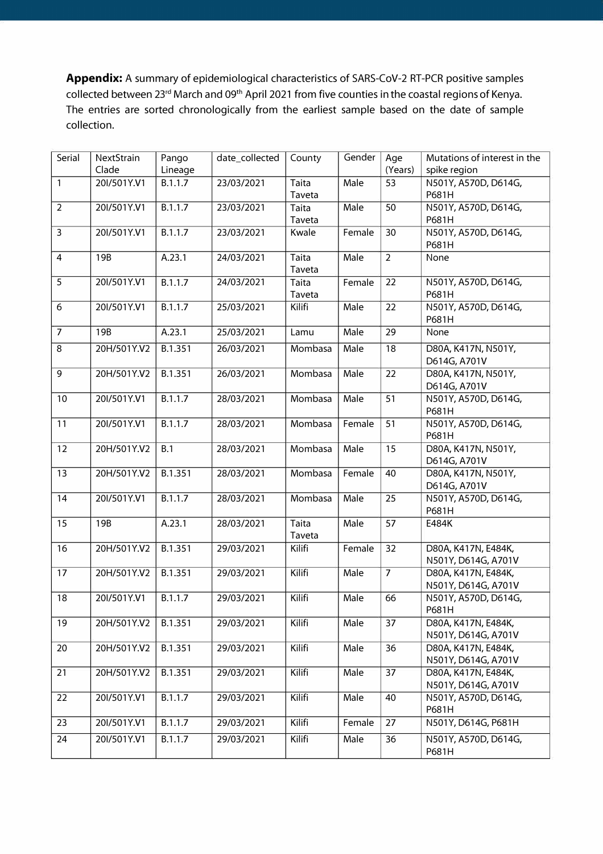**Appendix:** A summary of epidemiological characteristics of SARS-CoV-2 RT-PCR positive samples collected between 23<sup>rd</sup> March and 09<sup>th</sup> April 2021 from five counties in the coastal regions of Kenya. The entries are sorted chronologically from the earliest sample based on the date of sample collection.

| Serial         | NextStrain  | Pango   | date_collected | County       | Gender | Age             | Mutations of interest in the |
|----------------|-------------|---------|----------------|--------------|--------|-----------------|------------------------------|
|                | Clade       | Lineage |                |              |        | (Years)         | spike region                 |
| $\overline{1}$ | 20I/501Y.V1 | B.1.1.7 | 23/03/2021     | Taita        | Male   | 53              | N501Y, A570D, D614G,         |
|                |             |         |                | Taveta       |        |                 | P681H                        |
| $\overline{2}$ | 20I/501Y.V1 | B.1.1.7 | 23/03/2021     | Taita        | Male   | $\overline{50}$ | N501Y, A570D, D614G,         |
|                |             |         |                | Taveta       |        |                 | P681H                        |
| $\overline{3}$ | 20I/501Y.V1 | B.1.1.7 | 23/03/2021     | Kwale        | Female | 30              | N501Y, A570D, D614G,         |
|                |             |         |                |              |        |                 | P681H                        |
| $\overline{4}$ | 19B         | A.23.1  | 24/03/2021     | <b>Taita</b> | Male   | $\overline{2}$  | None                         |
|                |             |         |                | Taveta       |        |                 |                              |
| 5              | 20I/501Y.V1 | B.1.1.7 | 24/03/2021     | Taita        | Female | 22              | N501Y, A570D, D614G,         |
|                |             |         |                | Taveta       |        |                 | P681H                        |
| 6              | 20I/501Y.V1 | B.1.1.7 | 25/03/2021     | Kilifi       | Male   | 22              | N501Y, A570D, D614G,         |
|                |             |         |                |              |        |                 | P681H                        |
| $\overline{7}$ | 19B         | A.23.1  | 25/03/2021     | Lamu         | Male   | 29              | None                         |
| $\,8\,$        | 20H/501Y.V2 | B.1.351 | 26/03/2021     | Mombasa      | Male   | 18              | D80A, K417N, N501Y,          |
|                |             |         |                |              |        |                 | D614G, A701V                 |
| $\overline{9}$ | 20H/501Y.V2 | B.1.351 | 26/03/2021     | Mombasa      | Male   | $\overline{22}$ | D80A, K417N, N501Y,          |
|                |             |         |                |              |        |                 | D614G, A701V                 |
| 10             | 20I/501Y.V1 | B.1.1.7 | 28/03/2021     | Mombasa      | Male   | 51              | N501Y, A570D, D614G,         |
|                |             |         |                |              |        |                 | P681H                        |
| 11             | 20I/501Y.V1 | B.1.1.7 | 28/03/2021     | Mombasa      | Female | 51              | N501Y, A570D, D614G,         |
|                |             |         |                |              |        |                 | P681H                        |
| 12             | 20H/501Y.V2 | B.1     | 28/03/2021     | Mombasa      | Male   | $\overline{15}$ | D80A, K417N, N501Y,          |
|                |             |         |                |              |        |                 | D614G, A701V                 |
| 13             | 20H/501Y.V2 | B.1.351 | 28/03/2021     | Mombasa      | Female | 40              | D80A, K417N, N501Y,          |
|                |             |         |                |              |        |                 | D614G, A701V                 |
| 14             | 20I/501Y.V1 | B.1.1.7 | 28/03/2021     | Mombasa      | Male   | $\overline{25}$ | N501Y, A570D, D614G,         |
|                |             |         |                |              |        |                 | P681H                        |
| 15             | 19B         | A.23.1  | 28/03/2021     | Taita        | Male   | 57              | E484K                        |
|                |             |         |                | Taveta       |        |                 |                              |
| 16             | 20H/501Y.V2 | B.1.351 | 29/03/2021     | Kilifi       | Female | 32              | D80A, K417N, E484K,          |
|                |             |         |                |              |        |                 | N501Y, D614G, A701V          |
| 17             | 20H/501Y.V2 | B.1.351 | 29/03/2021     | Kilifi       | Male   | $\overline{7}$  | D80A, K417N, E484K,          |
|                |             |         |                |              |        |                 | N501Y, D614G, A701V          |
| 18             | 20I/501Y.V1 | B.1.1.7 | 29/03/2021     | Kilifi       | Male   | 66              | N501Y, A570D, D614G,         |
|                |             |         |                |              |        |                 | P681H                        |
| 19             | 20H/501Y.V2 | B.1.351 | 29/03/2021     | Kilifi       | Male   | 37              | D80A, K417N, E484K,          |
|                |             |         |                |              |        |                 | N501Y, D614G, A701V          |
| 20             | 20H/501Y.V2 | B.1.351 | 29/03/2021     | Kilifi       | Male   | 36              | D80A, K417N, E484K,          |
|                |             |         |                |              |        |                 | N501Y, D614G, A701V          |
| 21             | 20H/501Y.V2 | B.1.351 | 29/03/2021     | Kilifi       | Male   | 37              | D80A, K417N, E484K,          |
|                |             |         |                |              |        |                 | N501Y, D614G, A701V          |
| 22             | 20I/501Y.V1 | B.1.1.7 | 29/03/2021     | Kilifi       | Male   | 40              | N501Y, A570D, D614G,         |
|                |             |         |                |              |        |                 | P681H                        |
| 23             | 20I/501Y.V1 | B.1.1.7 | 29/03/2021     | Kilifi       | Female | $\overline{27}$ | N501Y, D614G, P681H          |
| 24             | 20I/501Y.V1 | B.1.1.7 | 29/03/2021     | Kilifi       | Male   | 36              | N501Y, A570D, D614G,         |
|                |             |         |                |              |        |                 | P681H                        |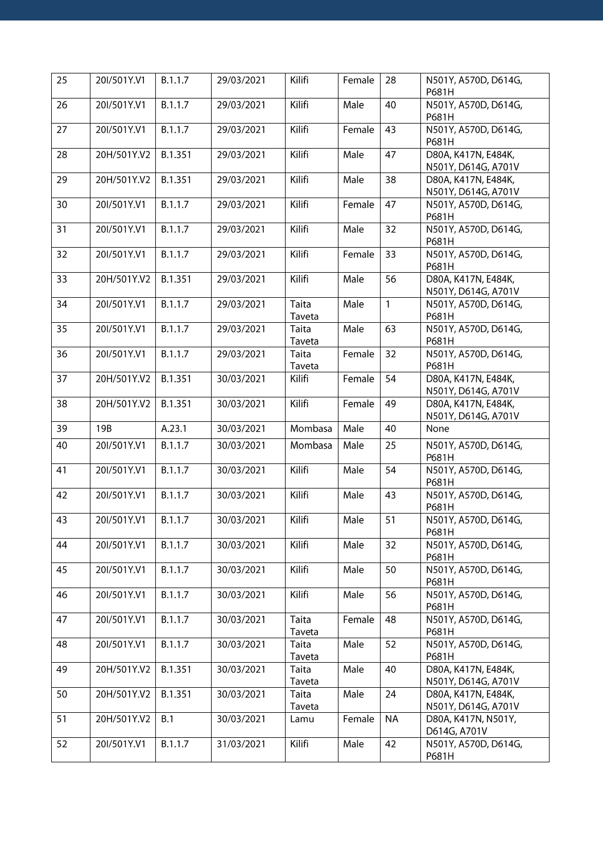| 25 | 20I/501Y.V1 | B.1.1.7 | 29/03/2021 | Kilifi          | Female | 28           | N501Y, A570D, D614G,                       |
|----|-------------|---------|------------|-----------------|--------|--------------|--------------------------------------------|
| 26 | 20I/501Y.V1 | B.1.1.7 | 29/03/2021 | Kilifi          | Male   | 40           | P681H<br>N501Y, A570D, D614G,              |
|    |             |         |            |                 |        |              | P681H                                      |
| 27 | 20I/501Y.V1 | B.1.1.7 | 29/03/2021 | Kilifi          | Female | 43           | N501Y, A570D, D614G,<br>P681H              |
| 28 | 20H/501Y.V2 | B.1.351 | 29/03/2021 | Kilifi          | Male   | 47           | D80A, K417N, E484K,<br>N501Y, D614G, A701V |
| 29 | 20H/501Y.V2 | B.1.351 | 29/03/2021 | Kilifi          | Male   | 38           | D80A, K417N, E484K,                        |
|    |             |         |            |                 |        |              | N501Y, D614G, A701V                        |
| 30 | 20I/501Y.V1 | B.1.1.7 | 29/03/2021 | Kilifi          | Female | 47           | N501Y, A570D, D614G,<br>P681H              |
| 31 | 20I/501Y.V1 | B.1.1.7 | 29/03/2021 | Kilifi          | Male   | 32           | N501Y, A570D, D614G,<br>P681H              |
| 32 | 20I/501Y.V1 | B.1.1.7 | 29/03/2021 | Kilifi          | Female | 33           | N501Y, A570D, D614G,<br>P681H              |
| 33 | 20H/501Y.V2 | B.1.351 | 29/03/2021 | Kilifi          | Male   | 56           | D80A, K417N, E484K,<br>N501Y, D614G, A701V |
| 34 | 20I/501Y.V1 | B.1.1.7 | 29/03/2021 | Taita<br>Taveta | Male   | $\mathbf{1}$ | N501Y, A570D, D614G,<br>P681H              |
| 35 | 20I/501Y.V1 | B.1.1.7 | 29/03/2021 | Taita<br>Taveta | Male   | 63           | N501Y, A570D, D614G,<br>P681H              |
| 36 | 20I/501Y.V1 | B.1.1.7 | 29/03/2021 | Taita           | Female | 32           | N501Y, A570D, D614G,                       |
| 37 | 20H/501Y.V2 | B.1.351 |            | Taveta          |        | 54           | P681H                                      |
|    |             |         | 30/03/2021 | Kilifi          | Female |              | D80A, K417N, E484K,<br>N501Y, D614G, A701V |
| 38 | 20H/501Y.V2 | B.1.351 | 30/03/2021 | Kilifi          | Female | 49           | D80A, K417N, E484K,<br>N501Y, D614G, A701V |
| 39 | 19B         | A.23.1  | 30/03/2021 | Mombasa         | Male   | 40           | None                                       |
| 40 | 20I/501Y.V1 | B.1.1.7 | 30/03/2021 | Mombasa         | Male   | 25           | N501Y, A570D, D614G,<br>P681H              |
| 41 | 20I/501Y.V1 | B.1.1.7 | 30/03/2021 | Kilifi          | Male   | 54           | N501Y, A570D, D614G,<br>P681H              |
| 42 | 20I/501Y.V1 | B.1.1.7 | 30/03/2021 | Kilifi          | Male   | 43           | N501Y, A570D, D614G,<br>P681H              |
| 43 | 20I/501Y.V1 | B.1.1.7 | 30/03/2021 | Kilifi          | Male   | 51           | N501Y, A570D, D614G,<br>P681H              |
| 44 | 20I/501Y.V1 | B.1.1.7 | 30/03/2021 | <b>Kilifi</b>   | Male   | 32           | N501Y, A570D, D614G,<br>P681H              |
| 45 | 20I/501Y.V1 | B.1.1.7 | 30/03/2021 | Kilifi          | Male   | 50           | N501Y, A570D, D614G,<br>P681H              |
| 46 | 20I/501Y.V1 | B.1.1.7 | 30/03/2021 | Kilifi          | Male   | 56           | N501Y, A570D, D614G,<br>P681H              |
| 47 | 20I/501Y.V1 | B.1.1.7 | 30/03/2021 | Taita<br>Taveta | Female | 48           | N501Y, A570D, D614G,<br>P681H              |
| 48 | 20I/501Y.V1 | B.1.1.7 | 30/03/2021 | Taita<br>Taveta | Male   | 52           | N501Y, A570D, D614G,<br>P681H              |
| 49 | 20H/501Y.V2 | B.1.351 | 30/03/2021 | Taita           | Male   | 40           | D80A, K417N, E484K,                        |
| 50 | 20H/501Y.V2 | B.1.351 | 30/03/2021 | Taveta<br>Taita | Male   | 24           | N501Y, D614G, A701V<br>D80A, K417N, E484K, |
|    |             |         |            | Taveta          |        |              | N501Y, D614G, A701V                        |
| 51 | 20H/501Y.V2 | B.1     | 30/03/2021 | Lamu            | Female | <b>NA</b>    | D80A, K417N, N501Y,<br>D614G, A701V        |
| 52 | 20I/501Y.V1 | B.1.1.7 | 31/03/2021 | Kilifi          | Male   | 42           | N501Y, A570D, D614G,<br>P681H              |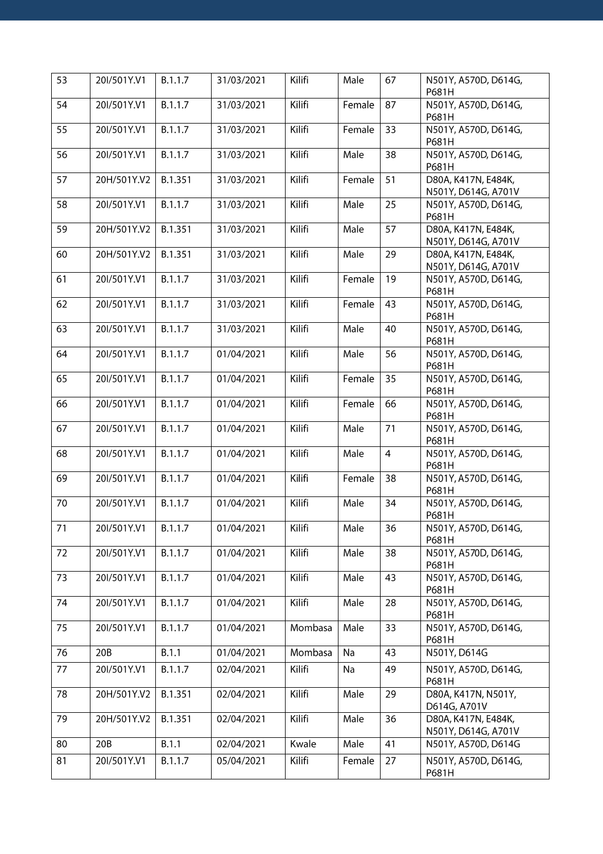| 53 | 20I/501Y.V1 | B.1.1.7 | 31/03/2021 | Kilifi  | Male   | 67             | N501Y, A570D, D614G,<br>P681H              |
|----|-------------|---------|------------|---------|--------|----------------|--------------------------------------------|
| 54 | 20I/501Y.V1 | B.1.1.7 | 31/03/2021 | Kilifi  | Female | 87             | N501Y, A570D, D614G,<br>P681H              |
| 55 | 20I/501Y.V1 | B.1.1.7 | 31/03/2021 | Kilifi  | Female | 33             | N501Y, A570D, D614G,<br>P681H              |
| 56 | 20I/501Y.V1 | B.1.1.7 | 31/03/2021 | Kilifi  | Male   | 38             | N501Y, A570D, D614G,<br>P681H              |
| 57 | 20H/501Y.V2 | B.1.351 | 31/03/2021 | Kilifi  | Female | 51             | D80A, K417N, E484K,<br>N501Y, D614G, A701V |
| 58 | 20I/501Y.V1 | B.1.1.7 | 31/03/2021 | Kilifi  | Male   | 25             | N501Y, A570D, D614G,<br>P681H              |
| 59 | 20H/501Y.V2 | B.1.351 | 31/03/2021 | Kilifi  | Male   | 57             | D80A, K417N, E484K,<br>N501Y, D614G, A701V |
| 60 | 20H/501Y.V2 | B.1.351 | 31/03/2021 | Kilifi  | Male   | 29             | D80A, K417N, E484K,<br>N501Y, D614G, A701V |
| 61 | 20I/501Y.V1 | B.1.1.7 | 31/03/2021 | Kilifi  | Female | 19             | N501Y, A570D, D614G,<br>P681H              |
| 62 | 20I/501Y.V1 | B.1.1.7 | 31/03/2021 | Kilifi  | Female | 43             | N501Y, A570D, D614G,<br>P681H              |
| 63 | 20I/501Y.V1 | B.1.1.7 | 31/03/2021 | Kilifi  | Male   | 40             | N501Y, A570D, D614G,<br>P681H              |
| 64 | 20I/501Y.V1 | B.1.1.7 | 01/04/2021 | Kilifi  | Male   | 56             | N501Y, A570D, D614G,<br>P681H              |
| 65 | 20I/501Y.V1 | B.1.1.7 | 01/04/2021 | Kilifi  | Female | 35             | N501Y, A570D, D614G,<br>P681H              |
| 66 | 20I/501Y.V1 | B.1.1.7 | 01/04/2021 | Kilifi  | Female | 66             | N501Y, A570D, D614G,<br>P681H              |
| 67 | 20I/501Y.V1 | B.1.1.7 | 01/04/2021 | Kilifi  | Male   | 71             | N501Y, A570D, D614G,<br>P681H              |
| 68 | 20I/501Y.V1 | B.1.1.7 | 01/04/2021 | Kilifi  | Male   | $\overline{4}$ | N501Y, A570D, D614G,<br>P681H              |
| 69 | 20I/501Y.V1 | B.1.1.7 | 01/04/2021 | Kilifi  | Female | 38             | N501Y, A570D, D614G,<br>P681H              |
| 70 | 20I/501Y.V1 | B.1.1.7 | 01/04/2021 | Kilifi  | Male   | 34             | N501Y, A570D, D614G,<br>P681H              |
| 71 | 20I/501Y.V1 | B.1.1.7 | 01/04/2021 | Kilifi  | Male   | 36             | N501Y, A570D, D614G,<br>P681H              |
| 72 | 20I/501Y.V1 | B.1.1.7 | 01/04/2021 | Kilifi  | Male   | 38             | N501Y, A570D, D614G,<br>P681H              |
| 73 | 20I/501Y.V1 | B.1.1.7 | 01/04/2021 | Kilifi  | Male   | 43             | N501Y, A570D, D614G,<br>P681H              |
| 74 | 20I/501Y.V1 | B.1.1.7 | 01/04/2021 | Kilifi  | Male   | 28             | N501Y, A570D, D614G,<br>P681H              |
| 75 | 20I/501Y.V1 | B.1.1.7 | 01/04/2021 | Mombasa | Male   | 33             | N501Y, A570D, D614G,<br>P681H              |
| 76 | 20B         | B.1.1   | 01/04/2021 | Mombasa | Na     | 43             | N501Y, D614G                               |
| 77 | 20I/501Y.V1 | B.1.1.7 | 02/04/2021 | Kilifi  | Na     | 49             | N501Y, A570D, D614G,<br>P681H              |
| 78 | 20H/501Y.V2 | B.1.351 | 02/04/2021 | Kilifi  | Male   | 29             | D80A, K417N, N501Y,<br>D614G, A701V        |
| 79 | 20H/501Y.V2 | B.1.351 | 02/04/2021 | Kilifi  | Male   | 36             | D80A, K417N, E484K,<br>N501Y, D614G, A701V |
| 80 | 20B         | B.1.1   | 02/04/2021 | Kwale   | Male   | 41             | N501Y, A570D, D614G                        |
| 81 | 20I/501Y.V1 | B.1.1.7 | 05/04/2021 | Kilifi  | Female | 27             | N501Y, A570D, D614G,<br>P681H              |